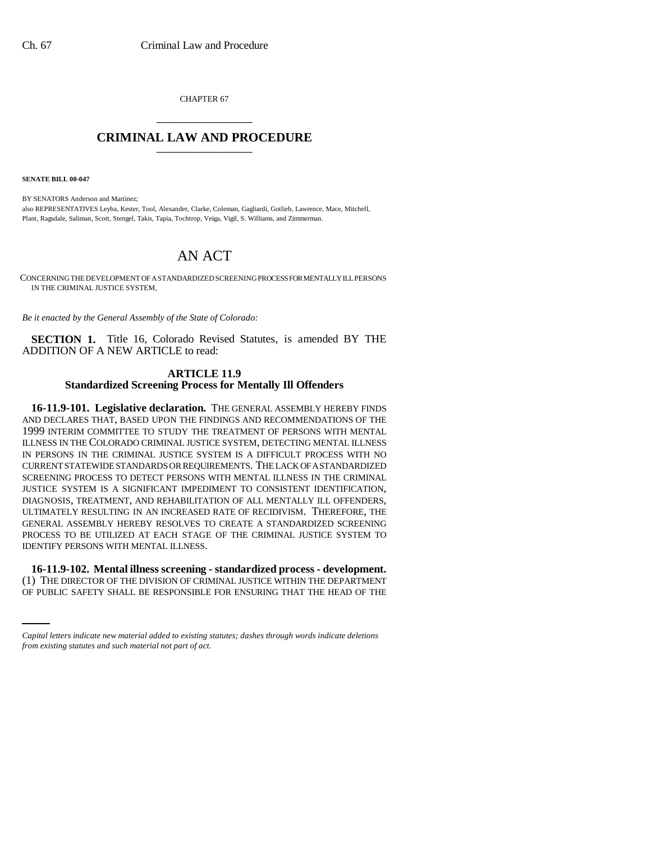CHAPTER 67 \_\_\_\_\_\_\_\_\_\_\_\_\_\_\_

## **CRIMINAL LAW AND PROCEDURE** \_\_\_\_\_\_\_\_\_\_\_\_\_\_\_

**SENATE BILL 00-047** 

BY SENATORS Anderson and Martinez; also REPRESENTATIVES Leyba, Kester, Tool, Alexander, Clarke, Coleman, Gagliardi, Gotlieb, Lawrence, Mace, Mitchell, Plant, Ragsdale, Saliman, Scott, Stengel, Takis, Tapia, Tochtrop, Veiga, Vigil, S. Williams, and Zimmerman.

## AN ACT

CONCERNING THE DEVELOPMENT OF A STANDARDIZED SCREENING PROCESS FOR MENTALLY ILL PERSONS IN THE CRIMINAL JUSTICE SYSTEM.

*Be it enacted by the General Assembly of the State of Colorado:*

**SECTION 1.** Title 16, Colorado Revised Statutes, is amended BY THE ADDITION OF A NEW ARTICLE to read:

## **ARTICLE 11.9 Standardized Screening Process for Mentally Ill Offenders**

**16-11.9-101. Legislative declaration.** THE GENERAL ASSEMBLY HEREBY FINDS AND DECLARES THAT, BASED UPON THE FINDINGS AND RECOMMENDATIONS OF THE 1999 INTERIM COMMITTEE TO STUDY THE TREATMENT OF PERSONS WITH MENTAL ILLNESS IN THE COLORADO CRIMINAL JUSTICE SYSTEM, DETECTING MENTAL ILLNESS IN PERSONS IN THE CRIMINAL JUSTICE SYSTEM IS A DIFFICULT PROCESS WITH NO CURRENT STATEWIDE STANDARDS OR REQUIREMENTS. THE LACK OF A STANDARDIZED SCREENING PROCESS TO DETECT PERSONS WITH MENTAL ILLNESS IN THE CRIMINAL JUSTICE SYSTEM IS A SIGNIFICANT IMPEDIMENT TO CONSISTENT IDENTIFICATION, DIAGNOSIS, TREATMENT, AND REHABILITATION OF ALL MENTALLY ILL OFFENDERS, ULTIMATELY RESULTING IN AN INCREASED RATE OF RECIDIVISM. THEREFORE, THE GENERAL ASSEMBLY HEREBY RESOLVES TO CREATE A STANDARDIZED SCREENING PROCESS TO BE UTILIZED AT EACH STAGE OF THE CRIMINAL JUSTICE SYSTEM TO IDENTIFY PERSONS WITH MENTAL ILLNESS.

 **16-11.9-102. Mental illness screening - standardized process - development.** (1) THE DIRECTOR OF THE DIVISION OF CRIMINAL JUSTICE WITHIN THE DEPARTMENT OF PUBLIC SAFETY SHALL BE RESPONSIBLE FOR ENSURING THAT THE HEAD OF THE

*Capital letters indicate new material added to existing statutes; dashes through words indicate deletions from existing statutes and such material not part of act.*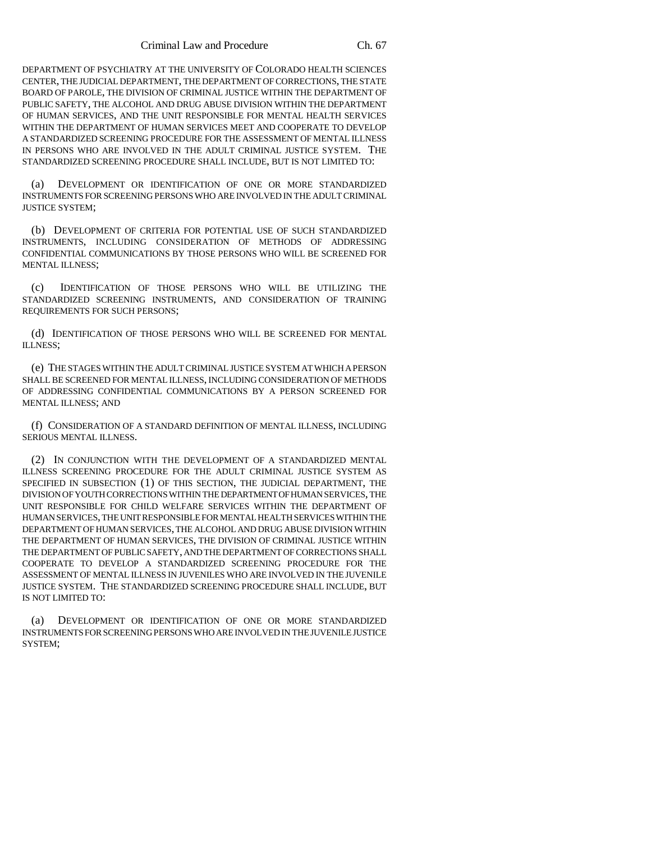DEPARTMENT OF PSYCHIATRY AT THE UNIVERSITY OF COLORADO HEALTH SCIENCES CENTER, THE JUDICIAL DEPARTMENT, THE DEPARTMENT OF CORRECTIONS, THE STATE BOARD OF PAROLE, THE DIVISION OF CRIMINAL JUSTICE WITHIN THE DEPARTMENT OF PUBLIC SAFETY, THE ALCOHOL AND DRUG ABUSE DIVISION WITHIN THE DEPARTMENT OF HUMAN SERVICES, AND THE UNIT RESPONSIBLE FOR MENTAL HEALTH SERVICES WITHIN THE DEPARTMENT OF HUMAN SERVICES MEET AND COOPERATE TO DEVELOP A STANDARDIZED SCREENING PROCEDURE FOR THE ASSESSMENT OF MENTAL ILLNESS IN PERSONS WHO ARE INVOLVED IN THE ADULT CRIMINAL JUSTICE SYSTEM. THE STANDARDIZED SCREENING PROCEDURE SHALL INCLUDE, BUT IS NOT LIMITED TO:

(a) DEVELOPMENT OR IDENTIFICATION OF ONE OR MORE STANDARDIZED INSTRUMENTS FOR SCREENING PERSONS WHO ARE INVOLVED IN THE ADULT CRIMINAL JUSTICE SYSTEM;

(b) DEVELOPMENT OF CRITERIA FOR POTENTIAL USE OF SUCH STANDARDIZED INSTRUMENTS, INCLUDING CONSIDERATION OF METHODS OF ADDRESSING CONFIDENTIAL COMMUNICATIONS BY THOSE PERSONS WHO WILL BE SCREENED FOR MENTAL ILLNESS;

(c) IDENTIFICATION OF THOSE PERSONS WHO WILL BE UTILIZING THE STANDARDIZED SCREENING INSTRUMENTS, AND CONSIDERATION OF TRAINING REQUIREMENTS FOR SUCH PERSONS;

(d) IDENTIFICATION OF THOSE PERSONS WHO WILL BE SCREENED FOR MENTAL ILLNESS;

(e) THE STAGES WITHIN THE ADULT CRIMINAL JUSTICE SYSTEM AT WHICH A PERSON SHALL BE SCREENED FOR MENTAL ILLNESS, INCLUDING CONSIDERATION OF METHODS OF ADDRESSING CONFIDENTIAL COMMUNICATIONS BY A PERSON SCREENED FOR MENTAL ILLNESS; AND

(f) CONSIDERATION OF A STANDARD DEFINITION OF MENTAL ILLNESS, INCLUDING SERIOUS MENTAL ILLNESS.

(2) IN CONJUNCTION WITH THE DEVELOPMENT OF A STANDARDIZED MENTAL ILLNESS SCREENING PROCEDURE FOR THE ADULT CRIMINAL JUSTICE SYSTEM AS SPECIFIED IN SUBSECTION (1) OF THIS SECTION, THE JUDICIAL DEPARTMENT, THE DIVISION OF YOUTH CORRECTIONS WITHIN THE DEPARTMENT OF HUMAN SERVICES, THE UNIT RESPONSIBLE FOR CHILD WELFARE SERVICES WITHIN THE DEPARTMENT OF HUMAN SERVICES, THE UNIT RESPONSIBLE FOR MENTAL HEALTH SERVICES WITHIN THE DEPARTMENT OF HUMAN SERVICES, THE ALCOHOL AND DRUG ABUSE DIVISION WITHIN THE DEPARTMENT OF HUMAN SERVICES, THE DIVISION OF CRIMINAL JUSTICE WITHIN THE DEPARTMENT OF PUBLIC SAFETY, AND THE DEPARTMENT OF CORRECTIONS SHALL COOPERATE TO DEVELOP A STANDARDIZED SCREENING PROCEDURE FOR THE ASSESSMENT OF MENTAL ILLNESS IN JUVENILES WHO ARE INVOLVED IN THE JUVENILE JUSTICE SYSTEM. THE STANDARDIZED SCREENING PROCEDURE SHALL INCLUDE, BUT IS NOT LIMITED TO:

(a) DEVELOPMENT OR IDENTIFICATION OF ONE OR MORE STANDARDIZED INSTRUMENTS FOR SCREENING PERSONS WHO ARE INVOLVED IN THE JUVENILE JUSTICE SYSTEM;